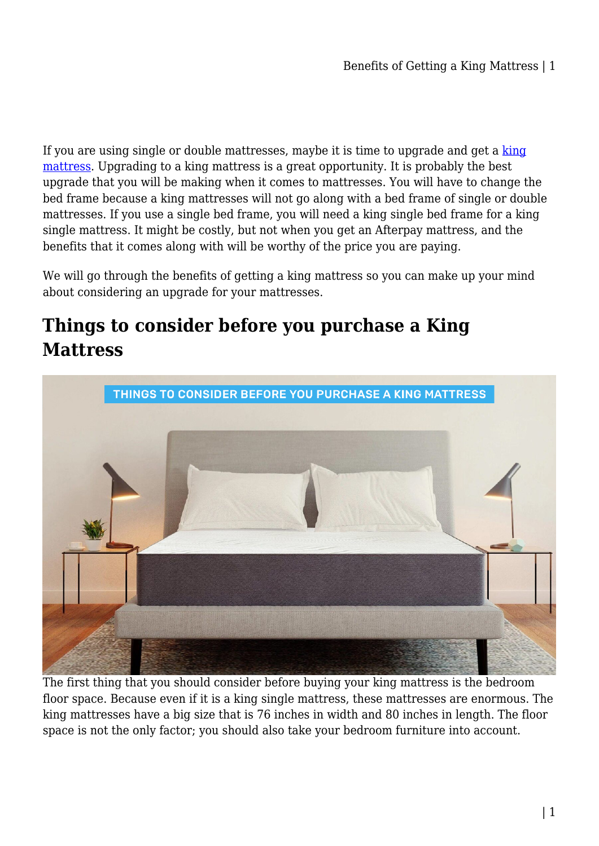If you are using single or double mattresses, maybe it is time to upgrade and get a [king](https://www.hr-sports.com.au/furniture/mattress/king-mattress/) [mattress](https://www.hr-sports.com.au/furniture/mattress/king-mattress/). Upgrading to a king mattress is a great opportunity. It is probably the best upgrade that you will be making when it comes to mattresses. You will have to change the bed frame because a king mattresses will not go along with a bed frame of single or double mattresses. If you use a single bed frame, you will need a king single bed frame for a king single mattress. It might be costly, but not when you get an Afterpay mattress, and the benefits that it comes along with will be worthy of the price you are paying.

We will go through the benefits of getting a king mattress so you can make up your mind about considering an upgrade for your mattresses.

# **Things to consider before you purchase a King Mattress**



The first thing that you should consider before buying your king mattress is the bedroom floor space. Because even if it is a king single mattress, these mattresses are enormous. The king mattresses have a big size that is 76 inches in width and 80 inches in length. The floor space is not the only factor; you should also take your bedroom furniture into account.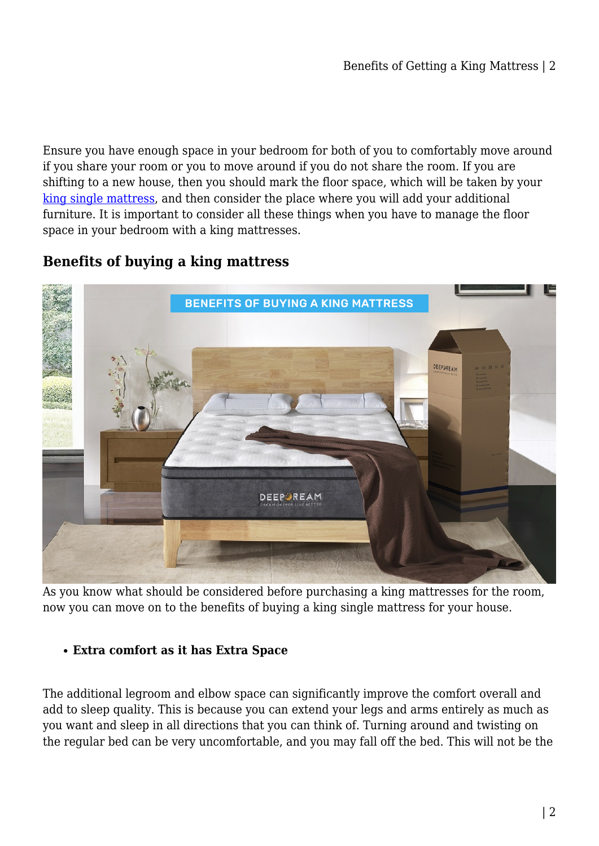Ensure you have enough space in your bedroom for both of you to comfortably move around if you share your room or you to move around if you do not share the room. If you are shifting to a new house, then you should mark the floor space, which will be taken by your [king single mattress,](https://www.hr-sports.com.au/furniture/mattress/king-single-mattress/) and then consider the place where you will add your additional furniture. It is important to consider all these things when you have to manage the floor space in your bedroom with a king mattresses.

# **Benefits of buying a king mattress**



As you know what should be considered before purchasing a king mattresses for the room, now you can move on to the benefits of buying a king single mattress for your house.

# **Extra comfort as it has Extra Space**

The additional legroom and elbow space can significantly improve the comfort overall and add to sleep quality. This is because you can extend your legs and arms entirely as much as you want and sleep in all directions that you can think of. Turning around and twisting on the regular bed can be very uncomfortable, and you may fall off the bed. This will not be the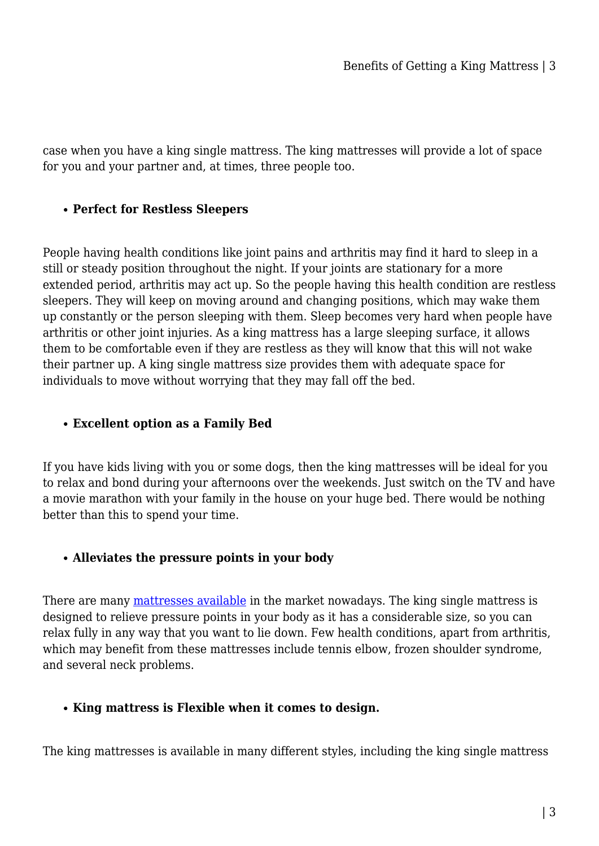case when you have a king single mattress. The king mattresses will provide a lot of space for you and your partner and, at times, three people too.

## **Perfect for Restless Sleepers**

People having health conditions like joint pains and arthritis may find it hard to sleep in a still or steady position throughout the night. If your joints are stationary for a more extended period, arthritis may act up. So the people having this health condition are restless sleepers. They will keep on moving around and changing positions, which may wake them up constantly or the person sleeping with them. Sleep becomes very hard when people have arthritis or other joint injuries. As a king mattress has a large sleeping surface, it allows them to be comfortable even if they are restless as they will know that this will not wake their partner up. A king single mattress size provides them with adequate space for individuals to move without worrying that they may fall off the bed.

#### **Excellent option as a Family Bed**

If you have kids living with you or some dogs, then the king mattresses will be ideal for you to relax and bond during your afternoons over the weekends. Just switch on the TV and have a movie marathon with your family in the house on your huge bed. There would be nothing better than this to spend your time.

#### **Alleviates the pressure points in your body**

There are many [mattresses available](https://www.hr-sports.com.au/furniture/mattress/) in the market nowadays. The king single mattress is designed to relieve pressure points in your body as it has a considerable size, so you can relax fully in any way that you want to lie down. Few health conditions, apart from arthritis, which may benefit from these mattresses include tennis elbow, frozen shoulder syndrome, and several neck problems.

#### **King mattress is Flexible when it comes to design.**

The king mattresses is available in many different styles, including the king single mattress